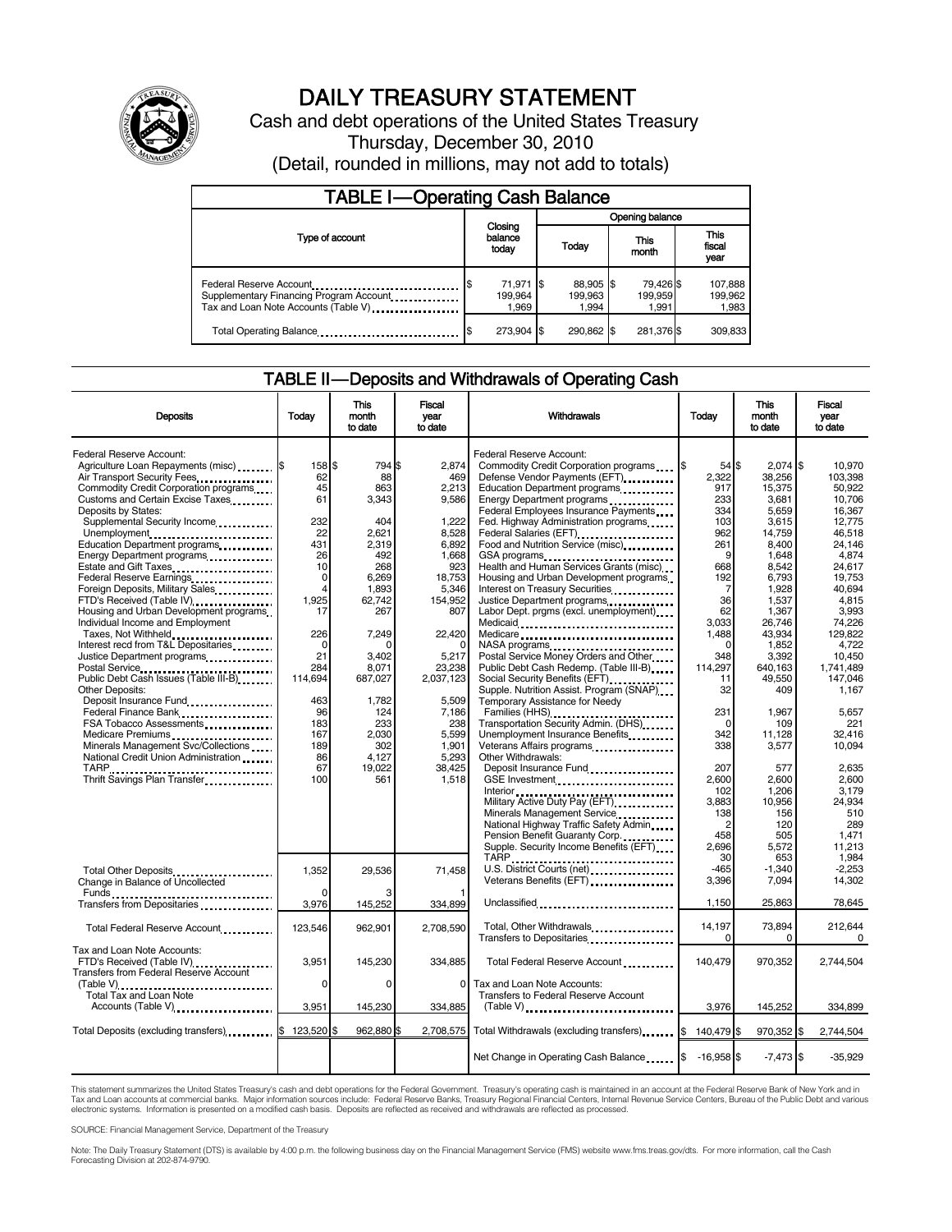

# DAILY TREASURY STATEMENT

Cash and debt operations of the United States Treasury Thursday, December 30, 2010 (Detail, rounded in millions, may not add to totals)

| <b>TABLE I-Operating Cash Balance</b>                                                                       |                               |  |                               |                               |                               |  |  |  |
|-------------------------------------------------------------------------------------------------------------|-------------------------------|--|-------------------------------|-------------------------------|-------------------------------|--|--|--|
|                                                                                                             | Closing<br>balance<br>today   |  | Opening balance               |                               |                               |  |  |  |
| Type of account                                                                                             |                               |  | Today                         | This<br>month                 | <b>This</b><br>fiscal<br>year |  |  |  |
| Federal Reserve Account<br>Supplementary Financing Program Account.<br>Tax and Loan Note Accounts (Table V) | 71,971 \$<br>199.964<br>1.969 |  | 88,905 \$<br>199.963<br>1.994 | 79,426 \$<br>199,959<br>1.991 | 107,888<br>199.962<br>1,983   |  |  |  |
| Total Operating Balance                                                                                     | 273.904 \$                    |  | 290.862 \$                    | 281,376 \$                    | 309.833                       |  |  |  |

#### TABLE II — Deposits and Withdrawals of Operating Cash

| <b>Deposits</b>                                                                                                                     | Today                           | This<br>month<br>to date        | Fiscal<br>vear<br>to date         | Withdrawals                                                                                                                                        | Today                                     | This<br>month<br>to date          | <b>Fiscal</b><br>year<br>to date        |
|-------------------------------------------------------------------------------------------------------------------------------------|---------------------------------|---------------------------------|-----------------------------------|----------------------------------------------------------------------------------------------------------------------------------------------------|-------------------------------------------|-----------------------------------|-----------------------------------------|
| Federal Reserve Account:<br>Agriculture Loan Repayments (misc) [\$<br>Air Transport Security Fees                                   | 158 \$<br>62<br>45              | 794 \$<br>88<br>863             | 2,874<br>469<br>2,213             | Federal Reserve Account:<br>Commodity Credit Corporation programs<br>Defense Vendor Payments (EFT)                                                 | 1\$<br>$54$ $\frac{1}{3}$<br>2.322<br>917 | $2,074$ \$<br>38.256<br>15,375    | 10,970<br>103.398<br>50,922             |
| Commodity Credit Corporation programs<br>Customs and Certain Excise Taxes<br>Deposits by States:<br>Supplemental Security Income    | 61<br>232                       | 3.343<br>404                    | 9,586<br>1.222                    | Education Department programs<br>Energy Department programs<br>Federal Employees Insurance Payments<br>Fed. Highway Administration programs        | 233<br>334<br>103                         | 3,681<br>5,659<br>3.615           | 10,706<br>16,367<br>12.775              |
| Unemployment<br>Education Department programs<br>Energy Department programs<br>Estate and Gift Taxes                                | 22<br>431<br>26<br>10           | 2.621<br>2.319<br>492<br>268    | 8,528<br>6.892<br>1,668<br>923    | Food and Nutrition Service (misc)<br>GSA programs<br>Health and Human Services Grants (misc)                                                       | 962<br>261<br>9<br>668                    | 14,759<br>8.400<br>1.648<br>8.542 | 46.518<br>24.146<br>4.874<br>24.617     |
| Federal Reserve Earnings<br>Foreign Deposits, Military Sales<br>FTD's Received (Table IV)<br>Housing and Urban Development programs | $\mathbf 0$<br>4<br>1.925<br>17 | 6.269<br>1.893<br>62,742<br>267 | 18,753<br>5.346<br>154,952<br>807 | Housing and Urban Development programs<br>Interest on Treasury Securities<br>Justice Department programs<br>Labor Dept. prgms (excl. unemployment) | 192<br>7<br>36<br>62                      | 6,793<br>1.928<br>1,537<br>1,367  | 19,753<br>40.694<br>4.815<br>3.993      |
| Individual Income and Employment<br>Taxes, Not Withheld<br>Interest recd from T&L Depositaries                                      | 226<br>$\mathbf 0$              | 7,249                           | 22,420                            | Medicaid<br>Medicare<br>NASA programs<br>Postal Service Money Orders and Other                                                                     | 3.033<br>1.488<br>$\Omega$                | 26,746<br>43,934<br>1,852         | 74,226<br>129.822<br>4,722              |
| Justice Department programs<br><br>Postal Service<br>Public Debt Cash Issues (Table III-B)<br><b>Other Deposits:</b>                | 21<br>284<br>114,694            | 3,402<br>8,071<br>687,027       | 5,217<br>23,238<br>2,037,123      | Public Debt Cash Redemp. (Table III-B)<br>Supple. Nutrition Assist. Program (SNAP)                                                                 | 348<br>114,297<br>11<br>32                | 3,392<br>640,163<br>49,550<br>409 | 10,450<br>1.741.489<br>147,046<br>1.167 |
| Deposit Insurance Fund<br>Federal Finance Bank<br><br>FSA Tobacco Assessments                                                       | 463<br>96<br>183<br>167         | 1,782<br>124<br>233<br>2,030    | 5,509<br>7.186<br>238<br>5.599    | Temporary Assistance for Needy<br>Transportation Security Admin. (DHS)<br>Unemployment Insurance Benefits                                          | 231<br>$\Omega$<br>342                    | 1.967<br>109<br>11.128            | 5.657<br>221<br>32.416                  |
| Medicare Premiums<br>Minerals Management Svc/Collections<br>National Credit Union Administration                                    | 189<br>86<br>67<br>100          | 302<br>4,127<br>19,022          | 1,901<br>5,293<br>38,425          | Veterans Affairs programs<br><br>Other Withdrawals:                                                                                                | 338<br>207                                | 3,577<br>577                      | 10,094<br>2,635                         |
| Thrift Savings Plan Transfer                                                                                                        |                                 | 561                             | 1,518                             | GSE Investment<br>Military Active Duty Pay (EFT)<br>Minerals Management Service                                                                    | 2.600<br>102<br>3.883<br>138              | 2,600<br>1,206<br>10,956<br>156   | 2.600<br>3,179<br>24,934<br>510         |
|                                                                                                                                     |                                 |                                 |                                   | National Highway Traffic Safety Admin<br>Pension Benefit Guaranty Corp.<br>Supple. Security Income Benefits (EFT)<br>TARP                          | $\overline{c}$<br>458<br>2.696<br>30      | 120<br>505<br>5,572<br>653        | 289<br>1.471<br>11.213<br>1.984         |
| Total Other Deposits<br>Change in Balance of Uncollected                                                                            | 1,352                           | 29,536                          | 71,458                            | U.S. District Courts (net)<br>Veterans Benefits (EFT)                                                                                              | $-465$<br>3,396                           | $-1.340$<br>7,094                 | $-2.253$<br>14,302                      |
| Transfers from Depositaries<br>Total Federal Reserve Account                                                                        | 3,976<br>123,546                | 145,252<br>962,901              | 334,899<br>2,708,590              | Unclassified<br>Total, Other Withdrawals                                                                                                           | 1,150<br>14,197<br>$\Omega$               | 25,863<br>73,894<br>$\Omega$      | 78,645<br>212,644<br>$\Omega$           |
| Tax and Loan Note Accounts:<br>FTD's Received (Table IV) [11] [11] [11] [11]<br>Transfers from Federal Reserve Account              | 3,951                           | 145,230                         | 334,885                           | Total Federal Reserve Account                                                                                                                      | 140,479                                   | 970,352                           | 2,744,504                               |
| Total Tax and Loan Note<br>Accounts (Table V)                                                                                       | $\Omega$<br>3,951               | $\Omega$<br>145,230             | $\Omega$<br>334,885               | Tax and Loan Note Accounts:<br>Transfers to Federal Reserve Account                                                                                | 3,976                                     | 145,252                           | 334,899                                 |
| Total Deposits (excluding transfers) 3 123,520 \$                                                                                   |                                 | 962.880 \$                      | 2,708,575                         | Total Withdrawals (excluding transfers)                                                                                                            | \$140,479                                 | 970,352 \$                        | 2,744,504                               |
|                                                                                                                                     |                                 |                                 |                                   | Net Change in Operating Cash Balance \$ -16,958 \$                                                                                                 |                                           | $-7,473$ \$                       | $-35,929$                               |

This statement summarizes the United States Treasury's cash and debt operations for the Federal Government. Treasury's operating cash is maintained in an account at the Federal Reserve Bank of New York and in<br>Tax and Loan

SOURCE: Financial Management Service, Department of the Treasury

Note: The Daily Treasury Statement (DTS) is available by 4:00 p.m. the following business day on the Financial Management Service (FMS) website www.fms.treas.gov/dts. For more information, call the Cash<br>Forecasting Divisio